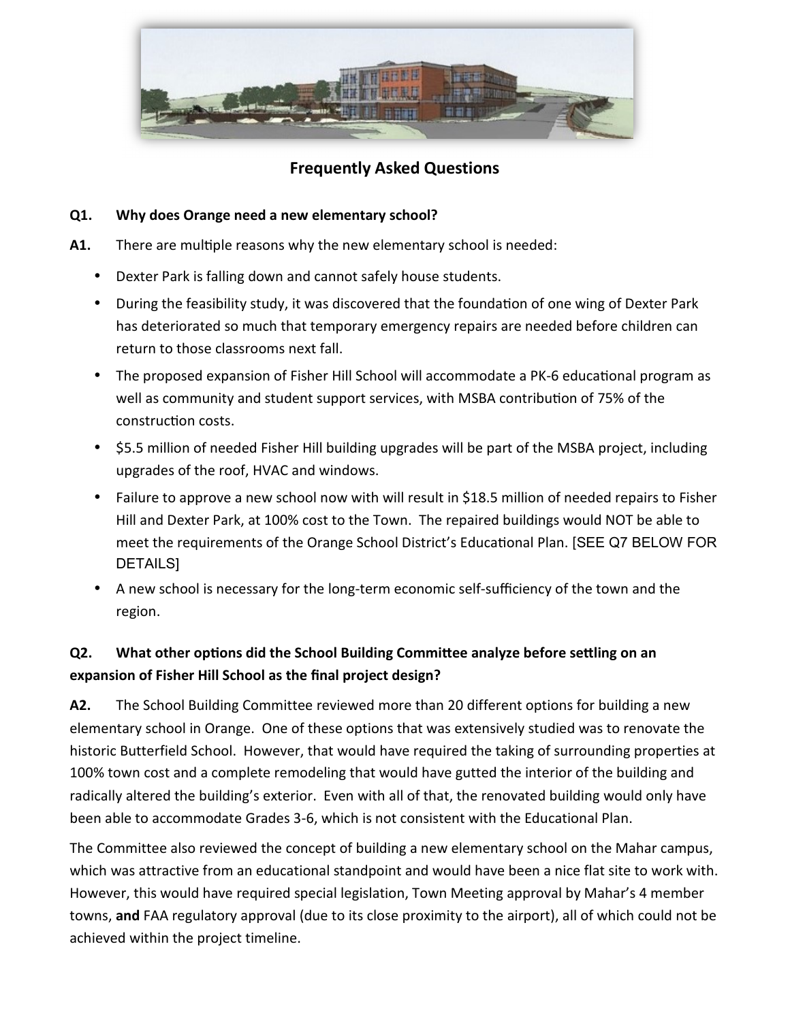

## **Frequently Asked Questions**

### **Q1. Why does Orange need a new elementary school?**

- A1. There are multiple reasons why the new elementary school is needed:
	- Dexter Park is falling down and cannot safely house students.
	- During the feasibility study, it was discovered that the foundation of one wing of Dexter Park has deteriorated so much that temporary emergency repairs are needed before children can return to those classrooms next fall.
	- The proposed expansion of Fisher Hill School will accommodate a PK-6 educational program as well as community and student support services, with MSBA contribution of 75% of the construction costs.
	- \$5.5 million of needed Fisher Hill building upgrades will be part of the MSBA project, including upgrades of the roof, HVAC and windows.
	- Failure to approve a new school now with will result in \$18.5 million of needed repairs to Fisher Hill and Dexter Park, at 100% cost to the Town. The repaired buildings would NOT be able to meet the requirements of the Orange School District's Educational Plan. [SEE Q7 BELOW FOR DETAILS]
	- A new school is necessary for the long-term economic self-sufficiency of the town and the region.

# **Q2.** What other options did the School Building Committee analyze before settling on an **expansion of Fisher Hill School as the final project design?**

**A2.** The School Building Committee reviewed more than 20 different options for building a new elementary school in Orange. One of these options that was extensively studied was to renovate the historic Butterfield School. However, that would have required the taking of surrounding properties at 100% town cost and a complete remodeling that would have gutted the interior of the building and radically altered the building's exterior. Even with all of that, the renovated building would only have been able to accommodate Grades 3-6, which is not consistent with the Educational Plan.

The Committee also reviewed the concept of building a new elementary school on the Mahar campus, which was attractive from an educational standpoint and would have been a nice flat site to work with. However, this would have required special legislation, Town Meeting approval by Mahar's 4 member towns, **and** FAA regulatory approval (due to its close proximity to the airport), all of which could not be achieved within the project timeline.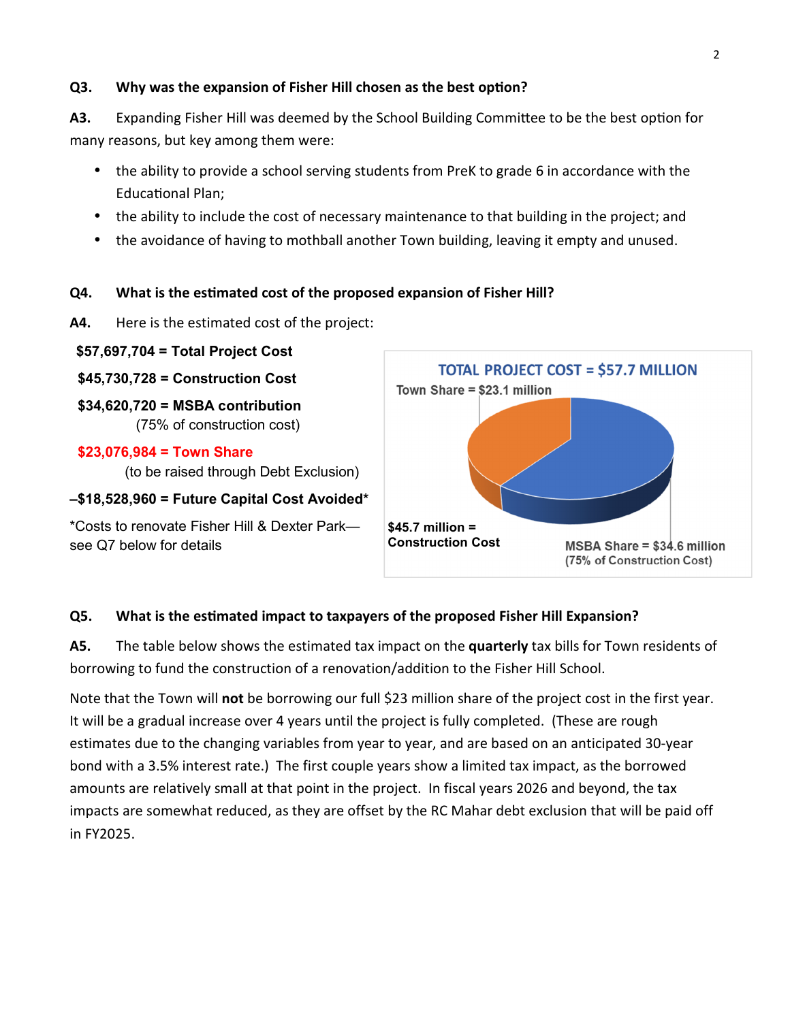#### **Q3.** Why was the expansion of Fisher Hill chosen as the best option?

A3. Expanding Fisher Hill was deemed by the School Building Committee to be the best option for many reasons, but key among them were:

- the ability to provide a school serving students from PreK to grade 6 in accordance with the Educational Plan;
- the ability to include the cost of necessary maintenance to that building in the project; and
- the avoidance of having to mothball another Town building, leaving it empty and unused.

### **Q4.** What is the estimated cost of the proposed expansion of Fisher Hill?

**A4.** Here is the estimated cost of the project:

 **\$57,697,704 = Total Project Cost \$45,730,728 = Construction Cost**

 **\$34,620,720 = MSBA contribution** (75% of construction cost)

#### **\$23,076,984 = Town Share**

(to be raised through Debt Exclusion)

### **–\$18,528,960 = Future Capital Cost Avoided\***

\*Costs to renovate Fisher Hill & Dexter Park see Q7 below for details



### **Q5.** What is the estimated impact to taxpayers of the proposed Fisher Hill Expansion?

**A5.** The table below shows the estimated tax impact on the **quarterly** tax bills for Town residents of borrowing to fund the construction of a renovation/addition to the Fisher Hill School.

Note that the Town will **not** be borrowing our full \$23 million share of the project cost in the first year. It will be a gradual increase over 4 years until the project is fully completed. (These are rough estimates due to the changing variables from year to year, and are based on an anticipated 30-year bond with a 3.5% interest rate.) The first couple years show a limited tax impact, as the borrowed amounts are relatively small at that point in the project. In fiscal years 2026 and beyond, the tax impacts are somewhat reduced, as they are offset by the RC Mahar debt exclusion that will be paid off in FY2025.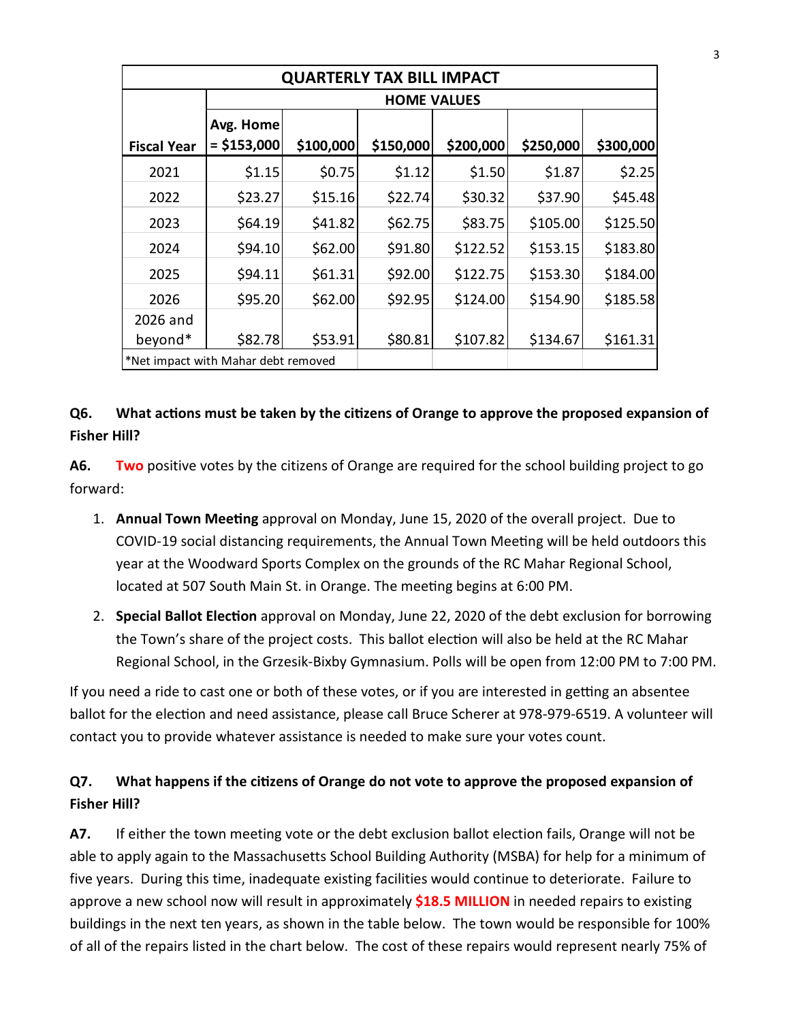| <b>QUARTERLY TAX BILL IMPACT</b>    |                           |           |           |           |           |           |  |  |  |
|-------------------------------------|---------------------------|-----------|-----------|-----------|-----------|-----------|--|--|--|
|                                     | <b>HOME VALUES</b>        |           |           |           |           |           |  |  |  |
| <b>Fiscal Year</b>                  | Avg. Home<br>$= $153,000$ | \$100,000 | \$150,000 | \$200,000 | \$250,000 | \$300,000 |  |  |  |
| 2021                                | \$1.15                    | \$0.75    | \$1.12    | \$1.50    | \$1.87    | \$2.25    |  |  |  |
| 2022                                | \$23.27                   | \$15.16   | \$22.74   | \$30.32   | \$37.90   | \$45.48   |  |  |  |
| 2023                                | \$64.19                   | \$41.82   | \$62.75   | \$83.75   | \$105.00  | \$125.50  |  |  |  |
| 2024                                | \$94.10                   | \$62.00   | \$91.80   | \$122.52  | \$153.15  | \$183.80  |  |  |  |
| 2025                                | \$94.11                   | \$61.31   | \$92.00   | \$122.75  | \$153.30  | \$184.00  |  |  |  |
| 2026                                | \$95.20                   | \$62.00   | \$92.95   | \$124.00  | \$154.90  | \$185.58  |  |  |  |
| 2026 and                            |                           |           |           |           |           |           |  |  |  |
| beyond*                             | \$82.78                   | \$53.91   | \$80.81   | \$107.82  | \$134.67  | \$161.31  |  |  |  |
| *Net impact with Mahar debt removed |                           |           |           |           |           |           |  |  |  |

### **Q6.** What actions must be taken by the citizens of Orange to approve the proposed expansion of **Fisher Hill?**

**A6. Two** positive votes by the citizens of Orange are required for the school building project to go forward:

- 1. **Annual Town Meeng** approval on Monday, June 15, 2020 of the overall project. Due to COVID-19 social distancing requirements, the Annual Town Meeting will be held outdoors this year at the Woodward Sports Complex on the grounds of the RC Mahar Regional School, located at 507 South Main St. in Orange. The meeting begins at 6:00 PM.
- 2. **Special Ballot Election** approval on Monday, June 22, 2020 of the debt exclusion for borrowing the Town's share of the project costs. This ballot election will also be held at the RC Mahar Regional School, in the Grzesik-Bixby Gymnasium. Polls will be open from 12:00 PM to 7:00 PM.

If you need a ride to cast one or both of these votes, or if you are interested in getting an absentee ballot for the election and need assistance, please call Bruce Scherer at 978-979-6519. A volunteer will contact you to provide whatever assistance is needed to make sure your votes count.

# **Q7.** What happens if the citizens of Orange do not vote to approve the proposed expansion of **Fisher Hill?**

**A7.** If either the town meeting vote or the debt exclusion ballot election fails, Orange will not be able to apply again to the Massachusetts School Building Authority (MSBA) for help for a minimum of five years. During this time, inadequate existing facilities would continue to deteriorate. Failure to approve a new school now will result in approximately **\$18.5 MILLION** in needed repairs to existing buildings in the next ten years, as shown in the table below. The town would be responsible for 100% of all of the repairs listed in the chart below. The cost of these repairs would represent nearly 75% of